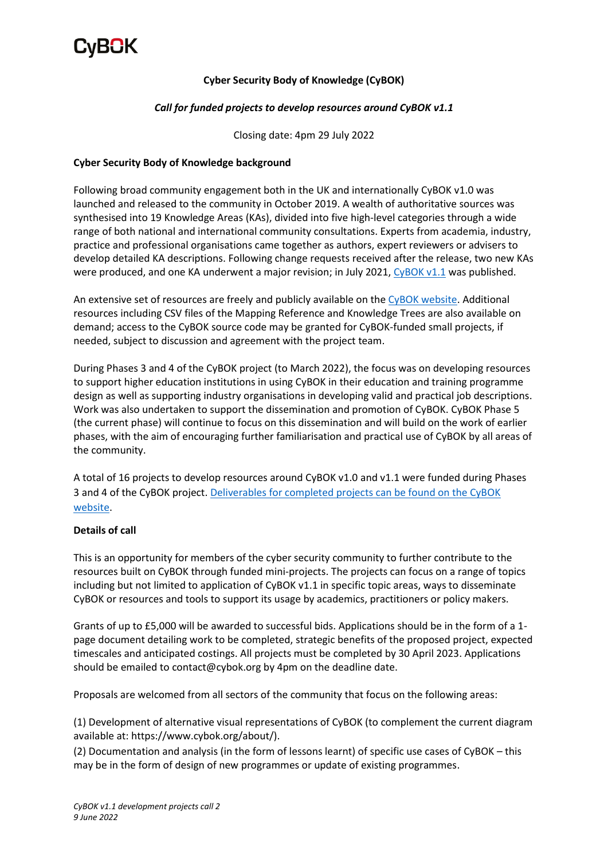

### **Cyber Security Body of Knowledge (CyBOK)**

#### *Call for funded projects to develop resources around CyBOK v1.1*

Closing date: 4pm 29 July 2022

#### **Cyber Security Body of Knowledge background**

Following broad community engagement both in the UK and internationally CyBOK v1.0 was launched and released to the community in October 2019. A wealth of authoritative sources was synthesised into 19 Knowledge Areas (KAs), divided into five high-level categories through a wide range of both national and international community consultations. Experts from academia, industry, practice and professional organisations came together as authors, expert reviewers or advisers to develop detailed KA descriptions. Following change requests received after the release, two new KAs were produced, and one KA underwent a major revision; in July 2021[, CyBOK v1.1](https://www.cybok.org/knowledgebase1_1/) was published.

An extensive set of resources are freely and publicly available on the [CyBOK website.](https://www.cybok.org/) Additional resources including CSV files of the Mapping Reference and Knowledge Trees are also available on demand; access to the CyBOK source code may be granted for CyBOK-funded small projects, if needed, subject to discussion and agreement with the project team.

During Phases 3 and 4 of the CyBOK project (to March 2022), the focus was on developing resources to support higher education institutions in using CyBOK in their education and training programme design as well as supporting industry organisations in developing valid and practical job descriptions. Work was also undertaken to support the dissemination and promotion of CyBOK. CyBOK Phase 5 (the current phase) will continue to focus on this dissemination and will build on the work of earlier phases, with the aim of encouraging further familiarisation and practical use of CyBOK by all areas of the community.

A total of 16 projects to develop resources around CyBOK v1.0 and v1.1 were funded during Phases 3 and 4 of the CyBOK project. [Deliverables for completed projects can be found on the CyBOK](https://www.cybok.org/resources_developed_through_funded_projects/)  [website.](https://www.cybok.org/resources_developed_through_funded_projects/)

#### **Details of call**

This is an opportunity for members of the cyber security community to further contribute to the resources built on CyBOK through funded mini-projects. The projects can focus on a range of topics including but not limited to application of CyBOK v1.1 in specific topic areas, ways to disseminate CyBOK or resources and tools to support its usage by academics, practitioners or policy makers.

Grants of up to £5,000 will be awarded to successful bids. Applications should be in the form of a 1 page document detailing work to be completed, strategic benefits of the proposed project, expected timescales and anticipated costings. All projects must be completed by 30 April 2023. Applications should be emailed to contact@cybok.org by 4pm on the deadline date.

Proposals are welcomed from all sectors of the community that focus on the following areas:

(1) Development of alternative visual representations of CyBOK (to complement the current diagram available at: https://www.cybok.org/about/).

(2) Documentation and analysis (in the form of lessons learnt) of specific use cases of CyBOK – this may be in the form of design of new programmes or update of existing programmes.